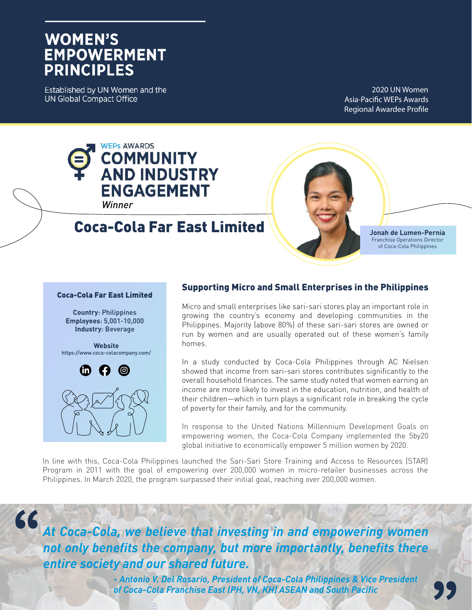# **WOMEN'S EMPOWERMENT PRINCIPLES**

Established by UN Women and the **UN Global Compact Office** 

2020 UN Women Asia-Pacific WEPs Awards Regional Awardee Profile



## Coca-Cola Far East Limited

**Jonah de Lumen-Pernia**  Franchise Operations Director of Coca-Cola Philippines

#### Coca-Cola Far East Limited

**Country**: Philippines **Employees**: 5,001-10,000 **Industry**: Beverage

**Website** https://www.coca-colacompany.com/



66

#### Supporting Micro and Small Enterprises in the Philippines

Micro and small enterprises like sari-sari stores play an important role in growing the country's economy and developing communities in the Philippines. Majority (above 80%) of these sari-sari stores are owned or run by women and are usually operated out of these women's family homes.

In a study conducted by Coca-Cola Philippines through AC Nielsen showed that income from sari-sari stores contributes significantly to the overall household finances. The same study noted that women earning an income are more likely to invest in the education, nutrition, and health of their children—which in turn plays a significant role in breaking the cycle of poverty for their family, and for the community.

In response to the United Nations Millennium Development Goals on empowering women, the Coca-Cola Company implemented the 5by20 global initiative to economically empower 5 million women by 2020.

In line with this, Coca-Cola Philippines launched the Sari-Sari Store Training and Access to Resources (STAR) Program in 2011 with the goal of empowering over 200,000 women in micro-retailer businesses across the Philippines. In March 2020, the program surpassed their initial goal, reaching over 200,000 women.

*At Coca-Cola, we believe that investing in and empowering women not only benefits the company, but more importantly, benefits there entire society and our shared future.*

> *- Antonio V. Del Rosario, President of Coca-Cola Philippines & Vice President of Coca-Cola Franchise East (PH, VN, KH) ASEAN and South Pacific*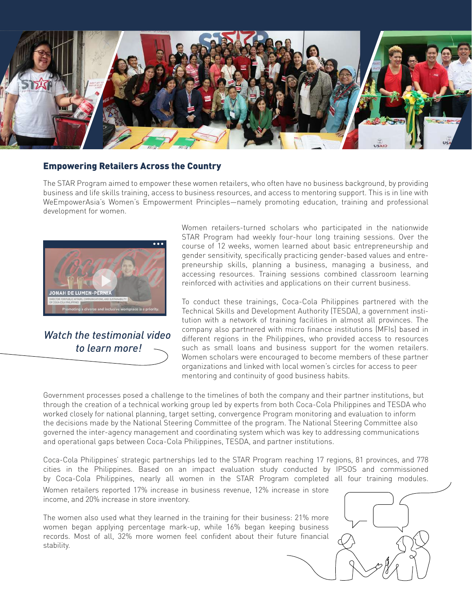

#### Empowering Retailers Across the Country

The STAR Program aimed to empower these women retailers, who often have no business background, by providing business and life skills training, access to business resources, and access to mentoring support. This is in line with WeEmpowerAsia's Women's Empowerment Principles—namely promoting education, training and professional development for women.



*Watch the testimonial video to learn more!*

Women retailers-turned scholars who participated in the nationwide STAR Program had weekly four-hour long training sessions. Over the course of 12 weeks, women learned about basic entrepreneurship and gender sensitivity, specifically practicing gender-based values and entrepreneurship skills, planning a business, managing a business, and accessing resources. Training sessions combined classroom learning reinforced with activities and applications on their current business.

To conduct these trainings, Coca-Cola Philippines partnered with the Technical Skills and Development Authority (TESDA), a government institution with a network of training facilities in almost all provinces. The company also partnered with micro finance institutions (MFIs) based in different regions in the Philippines, who provided access to resources such as small loans and business support for the women retailers. Women scholars were encouraged to become members of these partner organizations and linked with local women's circles for access to peer mentoring and continuity of good business habits.

Government processes posed a challenge to the timelines of both the company and their partner institutions, but through the creation of a technical working group led by experts from both Coca-Cola Philippines and TESDA who worked closely for national planning, target setting, convergence Program monitoring and evaluation to inform the decisions made by the National Steering Committee of the program. The National Steering Committee also governed the inter-agency management and coordinating system which was key to addressing communications and operational gaps between Coca-Cola Philippines, TESDA, and partner institutions.

Coca-Cola Philippines' strategic partnerships led to the STAR Program reaching 17 regions, 81 provinces, and 778 cities in the Philippines. Based on an impact evaluation study conducted by IPSOS and commissioned by Coca-Cola Philippines, nearly all women in the STAR Program completed all four training modules. Women retailers reported 17% increase in business revenue, 12% increase in store

income, and 20% increase in store inventory.

The women also used what they learned in the training for their business: 21% more women began applying percentage mark-up, while 16% began keeping business records. Most of all, 32% more women feel confident about their future financial stability.